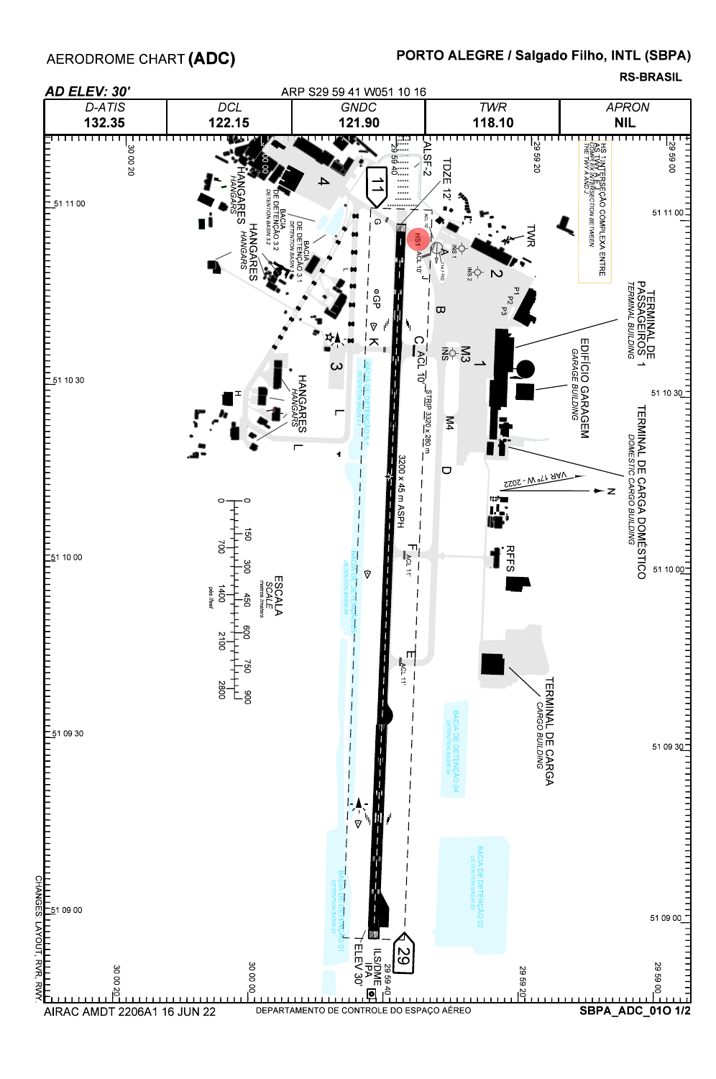AERODROME CHART (ADC)

## PORTO ALEGRE / Salgado Filho, INTL (SBPA)

**RS-BRASIL**